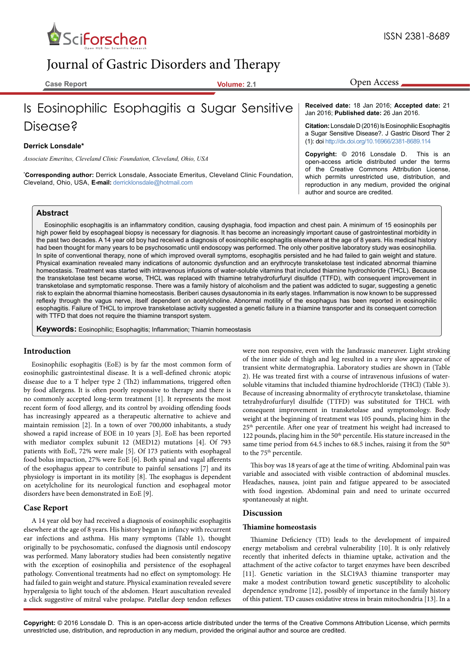

# Journal of Gastric Disorders and Therapy

**Case Report Volume: 2.1**

# Is Eosinophilic Esophagitis a Sugar Sensitive Disease?

## **Derrick Lonsdale\***

*Associate Emeritus, Cleveland Clinic Foundation, Cleveland, Ohio, USA*

**\* Corresponding author:** Derrick Lonsdale, Associate Emeritus, Cleveland Clinic Foundation, Cleveland, Ohio, USA, **E-mail:** derricklonsdale@hotmail.com

**Received date:** 18 Jan 2016; **Accepted date:** 21 Jan 2016; **Published date:** 26 Jan 2016.

Open Access

**Citation:** Lonsdale D (2016) Is Eosinophilic Esophagitis a Sugar Sensitive Disease?. J Gastric Disord Ther 2 (1): doi<http://dx.doi.org/10.16966/2381-8689.114>

**Copyright:** © 2016 Lonsdale D. This is an open-access article distributed under the terms of the Creative Commons Attribution License, which permits unrestricted use, distribution, and reproduction in any medium, provided the original author and source are credited.

## **Abstract**

Eosinophilic esophagitis is an inflammatory condition, causing dysphagia, food impaction and chest pain. A minimum of 15 eosinophils per high power field by esophageal biopsy is necessary for diagnosis. It has become an increasingly important cause of gastrointestinal morbidity in the past two decades. A 14 year old boy had received a diagnosis of eosinophilic esophagitis elsewhere at the age of 8 years. His medical history had been thought for many years to be psychosomatic until endoscopy was performed. The only other positive laboratory study was eosinophilia. In spite of conventional therapy, none of which improved overall symptoms, esophagitis persisted and he had failed to gain weight and stature. Physical examination revealed many indications of autonomic dysfunction and an erythrocyte transketolase test indicated abnormal thiamine homeostasis. Treatment was started with intravenous infusions of water-soluble vitamins that included thiamine hydrochloride (THCL). Because the transketolase test became worse, THCL was replaced with thiamine tetrahydrofurfuryl disulfide (TTFD), with consequent improvement in transketolase and symptomatic response. There was a family history of alcoholism and the patient was addicted to sugar, suggesting a genetic risk to explain the abnormal thiamine homeostasis. Beriberi causes dysautonomia in its early stages. Inflammation is now known to be suppressed reflexly through the vagus nerve, itself dependent on acetylcholine. Abnormal motility of the esophagus has been reported in eosinophilic esophagitis. Failure of THCL to improve transketolase activity suggested a genetic failure in a thiamine transporter and its consequent correction with TTFD that does not require the thiamine transport system.

**Keywords:** Eosinophilic; Esophagitis; Inflammation; Thiamin homeostasis

## **Introduction**

Eosinophilic esophagitis (EoE) is by far the most common form of eosinophilic gastrointestinal disease. It is a well-defined chronic atopic disease due to a T helper type 2 (Th2) inflammations, triggered often by food allergens. It is often poorly responsive to therapy and there is no commonly accepted long-term treatment [1]. It represents the most recent form of food allergy, and its control by avoiding offending foods has increasingly appeared as a therapeutic alternative to achieve and maintain remission [2]. In a town of over 700,000 inhabitants, a study showed a rapid increase of EOE in 10 years [3]. EoE has been reported with mediator complex subunit 12 (MED12) mutations [4]. Of 793 patients with EoE, 72% were male [5]. Of 173 patients with esophageal food bolus impaction, 27% were EoE [6]. Both spinal and vagal afferents of the esophagus appear to contribute to painful sensations [7] and its physiology is important in its motility [8]. The esophagus is dependent on acetylcholine for its neurological function and esophageal motor disorders have been demonstrated in EoE [9].

## **Case Report**

A 14 year old boy had received a diagnosis of eosinophilic esophagitis elsewhere at the age of 8 years. His history began in infancy with recurrent ear infections and asthma. His many symptoms (Table 1), thought originally to be psychosomatic, confused the diagnosis until endoscopy was performed. Many laboratory studies had been consistently negative with the exception of eosinophilia and persistence of the esophageal pathology. Conventional treatments had no effect on symptomology. He had failed to gain weight and stature. Physical examination revealed severe hyperalgesia to light touch of the abdomen. Heart auscultation revealed a click suggestive of mitral valve prolapse. Patellar deep tendon reflexes

were non responsive, even with the Jandrassic maneuver. Light stroking of the inner side of thigh and leg resulted in a very slow appearance of transient white dermatographia. Laboratory studies are shown in (Table 2). He was treated first with a course of intravenous infusions of watersoluble vitamins that included thiamine hydrochloride (THCl) (Table 3). Because of increasing abnormality of erythrocyte transketolase, thiamine tetrahydrofurfuryl disulfide (TTFD) was substituted for THCL with consequent improvement in transketolase and symptomology. Body weight at the beginning of treatment was 105 pounds, placing him in the 25th percentile. After one year of treatment his weight had increased to 122 pounds, placing him in the 50<sup>th</sup> percentile. His stature increased in the same time period from 64.5 inches to 68.5 inches, raising it from the 50<sup>th</sup> to the 75<sup>th</sup> percentile.

This boy was 18 years of age at the time of writing. Abdominal pain was variable and associated with visible contraction of abdominal muscles. Headaches, nausea, joint pain and fatigue appeared to be associated with food ingestion. Abdominal pain and need to urinate occurred spontaneously at night.

## **Discussion**

## **Thiamine homeostasis**

Thiamine Deficiency (TD) leads to the development of impaired energy metabolism and cerebral vulnerability [10]. It is only relatively recently that inherited defects in thiamine uptake, activation and the attachment of the active cofactor to target enzymes have been described [11]. Genetic variation in the SLC19A3 thiamine transporter may make a modest contribution toward genetic susceptibility to alcoholic dependence syndrome [12], possibly of importance in the family history of this patient. TD causes oxidative stress in brain mitochondria [13]. In a

**Copyright:** © 2016 Lonsdale D. This is an open-access article distributed under the terms of the Creative Commons Attribution License, which permits unrestricted use, distribution, and reproduction in any medium, provided the original author and source are credited.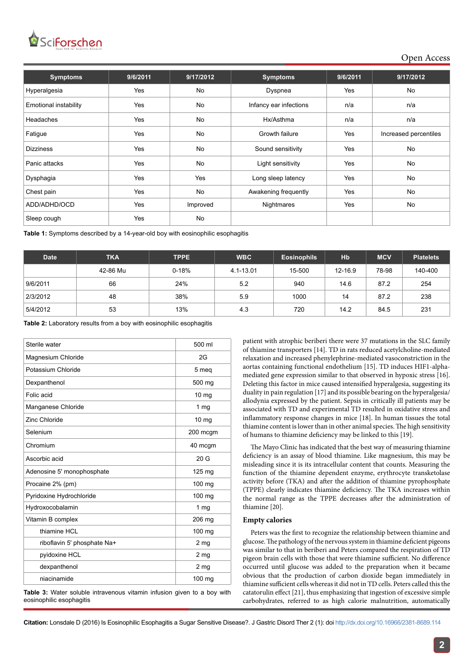## *SciForschen* Open HUB for Scientific Research

Open Access

| <b>Symptoms</b>              | 9/6/2011 | 9/17/2012 | <b>Symptoms</b>        | 9/6/2011   | 9/17/2012             |  |
|------------------------------|----------|-----------|------------------------|------------|-----------------------|--|
| Hyperalgesia                 | Yes      | No        | Yes<br>Dyspnea         |            | No                    |  |
| <b>Emotional instability</b> | Yes      | <b>No</b> | Infancy ear infections | n/a        | n/a                   |  |
| Headaches                    | Yes      | No        | Hx/Asthma              | n/a        | n/a                   |  |
| Fatigue                      | Yes      | No        | Growth failure         | <b>Yes</b> | Increased percentiles |  |
| <b>Dizziness</b>             | Yes      | <b>No</b> | Sound sensitivity      | Yes        | No                    |  |
| Panic attacks                | Yes      | No        | Light sensitivity      | Yes        | No                    |  |
| Dysphagia                    | Yes      | Yes       | Long sleep latency     | Yes        | No                    |  |
| Chest pain                   | Yes      | No        | Awakening frequently   | Yes        | No                    |  |
| ADD/ADHD/OCD                 | Yes      | Improved  | Nightmares             | <b>Yes</b> | No                    |  |
| Sleep cough                  | Yes      | No        |                        |            |                       |  |

**Table 1:** Symptoms described by a 14-year-old boy with eosinophilic esophagitis

| <b>Date</b> | <b>TKA</b> | <b>TPPE</b> | <b>WBC</b> | <b>Eosinophils</b> | Hb      | <b>MCV</b> | <b>Platelets</b> |
|-------------|------------|-------------|------------|--------------------|---------|------------|------------------|
|             | 42-86 Mu   | $0 - 18%$   | 4.1-13.01  | 15-500             | 12-16.9 | 78-98      | 140-400          |
| 9/6/2011    | 66         | 24%         | 5.2        | 940                | 14.6    | 87.2       | 254              |
| 2/3/2012    | 48         | 38%         | 5.9        | 1000               | 14      | 87.2       | 238              |
| 5/4/2012    | 53         | 13%         | 4.3        | 720                | 14.2    | 84.5       | 231              |

**Table 2:** Laboratory results from a boy with eosinophilic esophagitis

| Sterile water               | 500 ml           |  |  |
|-----------------------------|------------------|--|--|
| Magnesium Chloride          | 2G               |  |  |
| Potassium Chloride          | 5 meg            |  |  |
| Dexpanthenol                | 500 mg           |  |  |
| Folic acid                  | 10 <sub>mg</sub> |  |  |
| Manganese Chloride          | 1 $mg$           |  |  |
| Zinc Chloride               | 10 <sub>mg</sub> |  |  |
| Selenium                    | 200 mcgm         |  |  |
| Chromium                    | 40 mcgm          |  |  |
| Ascorbic acid               | 20G              |  |  |
| Adenosine 5' monophosphate  | $125 \text{ mg}$ |  |  |
| Procaine 2% (pm)            | 100 mg           |  |  |
| Pyridoxine Hydrochloride    | 100 mg           |  |  |
| Hydroxocobalamin            | 1 $mg$           |  |  |
| Vitamin B complex           | 206 mg           |  |  |
| thiamine HCL                | $100$ mg         |  |  |
| riboflavin 5' phosphate Na+ | 2 <sub>mg</sub>  |  |  |
| pyidoxine HCL               | 2 <sub>mg</sub>  |  |  |
| dexpanthenol                | 2 <sub>mg</sub>  |  |  |
| niacinamide                 | 100 mg           |  |  |

**Table 3:** Water soluble intravenous vitamin infusion given to a boy with eosinophilic esophagitis

patient with atrophic beriberi there were 37 mutations in the SLC family of thiamine transporters [14]. TD in rats reduced acetylcholine-mediated relaxation and increased phenylephrine-mediated vasoconstriction in the aortas containing functional endothelium [15]. TD induces HIF1-alphamediated gene expression similar to that observed in hypoxic stress [16]. Deleting this factor in mice caused intensified hyperalgesia, suggesting its duality in pain regulation [17] and its possible bearing on the hyperalgesia/ allodynia expressed by the patient. Sepsis in critically ill patients may be associated with TD and experimental TD resulted in oxidative stress and inflammatory response changes in mice [18]. In human tissues the total thiamine content is lower than in other animal species. The high sensitivity of humans to thiamine deficiency may be linked to this [19].

The Mayo Clinic has indicated that the best way of measuring thiamine deficiency is an assay of blood thiamine. Like magnesium, this may be misleading since it is its intracellular content that counts. Measuring the function of the thiamine dependent enzyme, erythrocyte transketolase activity before (TKA) and after the addition of thiamine pyrophosphate (TPPE) clearly indicates thiamine deficiency. The TKA increases within the normal range as the TPPE decreases after the administration of thiamine [20].

## **Empty calories**

Peters was the first to recognize the relationship between thiamine and glucose. The pathology of the nervous system in thiamine deficient pigeons was similar to that in beriberi and Peters compared the respiration of TD pigeon brain cells with those that were thiamine sufficient. No difference occurred until glucose was added to the preparation when it became obvious that the production of carbon dioxide began immediately in thiamine sufficient cells whereas it did not in TD cells. Peters called this the catatorulin effect [21], thus emphasizing that ingestion of excessive simple carbohydrates, referred to as high calorie malnutrition, automatically

**Citation:** Lonsdale D (2016) Is Eosinophilic Esophagitis a Sugar Sensitive Disease?. J Gastric Disord Ther 2 (1): doi<http://dx.doi.org/10.16966/2381-8689.114>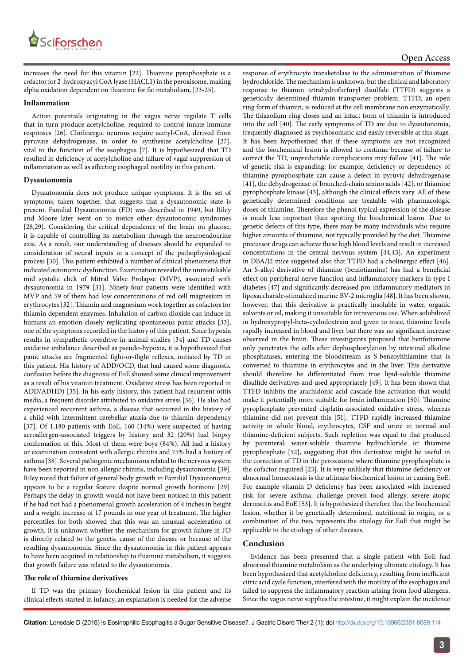

increases the need for this vitamin [22]. Thiamine pyrophosphate is a cofactor for 2-hydroxyacyl CoA lyase (HACL1) in the peroxisome, making alpha oxidation dependent on thiamine for fat metabolism, [23-25].

## **Inflammation**

Action potentials originating in the vagus nerve regulate T cells that in turn produce acetylcholine, required to control innate immune responses [26]. Cholinergic neurons require acetyl-CoA, derived from pyruvate dehydrogenase, in order to synthesize acetylcholine [27], vital to the function of the esophagus [7]. It is hypothesized that TD resulted in deficiency of acetylcholine and failure of vagal suppression of inflammation as well as affecting esophageal motility in this patient.

## **Dysautonomia**

Dysautonomia does not produce unique symptoms. It is the set of symptoms, taken together, that suggests that a dysautonomic state is present. Familial Dysautonomia (FD) was described in 1949, but Riley and Moore later went on to notice other dysautonomic syndromes [28,29]. Considering the critical dependence of the brain on glucose, it is capable of controlling its metabolism through the neuroendocrine axis. As a result, our understanding of diseases should be expanded to consideration of neural inputs in a concept of the pathophysiological process [30]. This patient exhibited a number of clinical phenomena that indicated autonomic dysfunction. Examination revealed the unmistakable mid systolic click of Mitral Valve Prolapse (MVP), associated with dysautonomia in 1979 [31]. Ninety-four patients were identified with MVP and 59 of them had low concentrations of red cell magnesium in erythrocytes [32]. Thiamin and magnesium work together as cofactors for thiamin dependent enzymes. Inhalation of carbon dioxide can induce in humans an emotion closely replicating spontaneous panic attacks [33], one of the symptoms recorded in the history of this patient. Since hypoxia results in sympathetic overdrive in animal studies [34] and TD causes oxidative imbalance described as pseudo-hypoxia, it is hypothesized that panic attacks are fragmented fight-or-flight reflexes, initiated by TD in this patient. His history of ADD/OCD, that had caused some diagnostic confusion before the diagnosis of EoE showed some clinical improvement as a result of his vitamin treatment. Oxidative stress has been reported in ADD/ADHD) [35]. In his early history, this patient had recurrent otitis media, a frequent disorder attributed to oxidative stress [36]. He also had experienced recurrent asthma, a disease that occurred in the history of a child with intermittent cerebellar ataxia due to thiamin dependency [37]. Of 1,180 patients with EoE, 160 (14%) were suspected of having aeroallergen-associated triggers by history and 32 (20%) had biopsy confirmation of this. Most of them were boys (84%). All had a history or examination consistent with allergic rhinitis and 75% had a history of asthma [38]. Several pathogenic mechanisms related to the nervous system have been reported in non allergic rhinitis, including dysautonomia [39]. Riley noted that failure of general body growth in Familial Dysautonomia appears to be a regular feature despite normal growth hormone [29]. Perhaps the delay in growth would not have been noticed in this patient if he had not had a phenomenal growth acceleration of 4 inches in height and a weight increase of 17 pounds in one year of treatment. The higher percentiles for both showed that this was an unusual acceleration of growth. It is unknown whether the mechanism for growth failure in FD is directly related to the genetic cause of the disease or because of the resulting dysautonomia. Since the dysautonomia in this patient appears to have been acquired in relationship to thiamine metabolism, it suggests that growth failure was related to the dysautonomia.

## **The role of thiamine derivatives**

If TD was the primary biochemical lesion in this patient and its clinical effects started in infancy, an explanation is needed for the adverse response of erythrocyte transketolase to the administration of thiamine hydrochloride. The mechanism is unknown, but the clinical and laboratory response to thiamin tetrahydrofurfuryl disulfide (TTFD) suggests a genetically determined thiamin transporter problem. TTFD, an open ring form of thiamin, is reduced at the cell membrane non enzymatically. The thiazolium ring closes and an intact form of thiamin is introduced into the cell [40]. The early symptoms of TD are due to dysautonomia, frequently diagnosed as psychosomatic and easily reversible at this stage. It has been hypothesized that if these symptoms are not recognized and the biochemical lesion is allowed to continue because of failure to correct the TD, unpredictable complications may follow [41]. The role of genetic risk is expanding: for example, deficiency or dependency of thiamine pyrophosphate can cause a defect in pyruvic dehydrogenase [41], the dehydrogenase of branched-chain amino acids [42], or thiamine pyrophosphate kinase [43], although the clinical effects vary. All of these genetically determined conditions are treatable with pharmacologic doses of thiamine. Therefore the phenol typical expression of the disease is much less important than spotting the biochemical lesion. Due to genetic defects of this type, there may be many individuals who require higher amounts of thiamine, not typically provided by the diet. Thiamine precursor drugs can achieve these high blood levels and result in increased concentrations in the central nervous system [44,45]. An experiment in DBA/J2 mice suggested also that TTFD had a cholinergic effect [46]. An S-alkyl derivative of thiamine (benfotiamine) has had a beneficial effect on peripheral nerve function and inflammatory markers in type I diabetes [47] and significantly decreased pro-inflammatory mediators in liposaccharide-stimulated murine BV-2 microglia [48]. It has been shown, however, that this derivative is practically insoluble in water, organic solvents or oil, making it unsuitable for intravenous use. When solubilized in hydroxypropyl-beta-cyclodextrxin and given to mice, thiamine levels rapidly increased in blood and liver but there was no significant increase observed in the brain. These investigators proposed that benfotiamine only penetrates the cells after dephosphorylation by intestinal alkaline phosphatases, entering the bloodstream as S-benzoylthiamine that is converted to thiamine in erythrocytes and in the liver. This derivative should therefore be differentiated from true lipid-soluble thiamine disulfide derivatives and used appropriately [49]. It has been shown that TTFD inhibits the arachidonic acid cascade-line activation that would make it potentially more suitable for brain inflammation [50]. Thiamine pyrophosphate prevented cisplatin-associated oxidative stress, whereas thiamine did not prevent this [51]. TTFD rapidly increased thiamine activity in whole blood, erythrocytes, CSF and urine in normal and thiamine-deficient subjects. Such repletion was equal to that produced by parenteral, water-soluble thiamine hydrochloride or thiamine pyrophosphate [52], suggesting that this derivative might be useful in the correction of TD in the peroxisome where thiamine pyrophosphate is the cofactor required [23]. It is very unlikely that thiamine deficiency or abnormal homeostasis is the ultimate biochemical lesion in causing EoE. For example vitamin D deficiency has been associated with increased risk for severe asthma, challenge proven food allergy, severe atopic dermatitis and EoE [53]. It is hypothesized therefore that the biochemical lesion, whether it be genetically determined, nutritional in origin, or a combination of the two, represents the etiology for EoE that might be applicable to the etiology of other diseases.

## **Conclusion**

Evidence has been presented that a single patient with EoE had abnormal thiamine metabolism as the underlying ultimate etiology. It has been hypothesized that acetylcholine deficiency, resulting from inefficient citric acid cycle function, interfered with the motility of the esophagus and failed to suppress the inflammatory reaction arising from food allergens. Since the vagus nerve supplies the intestine, it might explain the incidence

**Citation:** Lonsdale D (2016) Is Eosinophilic Esophagitis a Sugar Sensitive Disease?. J Gastric Disord Ther 2 (1): doi<http://dx.doi.org/10.16966/2381-8689.114>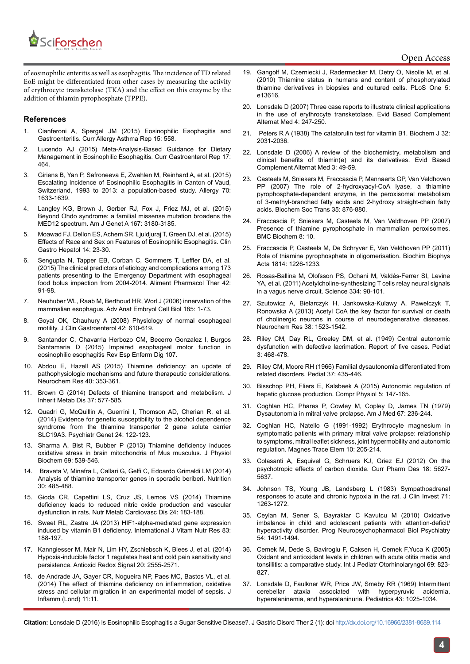

of eosinophilic enteritis as well as esophagitis. The incidence of TD related EoE might be differentiated from other cases by measuring the activity of erythrocyte transketolase (TKA) and the effect on this enzyme by the addition of thiamin pyrophosphate (TPPE).

## **References**

- 1. [Cianferoni A, Spergel JM \(2015\) Eosinophilic Esophagitis and](http://www.ncbi.nlm.nih.gov/pubmed/26233430)  [Gastroenteritis. Curr Allergy Asthma Rep 15: 558.](http://www.ncbi.nlm.nih.gov/pubmed/26233430)
- 2. [Lucendo AJ \(2015\) Meta-Analysis-Based Guidance for Dietary](http://www.ncbi.nlm.nih.gov/pubmed/26292666)  [Management in Eosinophilic Esophagitis. Curr Gastroenterol Rep 17:](http://www.ncbi.nlm.nih.gov/pubmed/26292666)  [464.](http://www.ncbi.nlm.nih.gov/pubmed/26292666)
- 3. [Giriens B, Yan P, Safroneeva E, Zwahlen M, Reinhard A, et al. \(2015\)](http://www.ncbi.nlm.nih.gov/pubmed/26304142)  [Escalating Incidence of Eosinophilic Esophagitis in Canton of Vaud,](http://www.ncbi.nlm.nih.gov/pubmed/26304142)  [Switzerland, 1993 to 2013: a population-based study. Allergy 70:](http://www.ncbi.nlm.nih.gov/pubmed/26304142)  [1633-1639.](http://www.ncbi.nlm.nih.gov/pubmed/26304142)
- 4. [Langley KG, Brown J, Gerber RJ, Fox J, Friez MJ, et al. \(2015\)](http://www.ncbi.nlm.nih.gov/pubmed/26338144)  [Beyond Ohdo syndrome: a familial missense mutation broadens the](http://www.ncbi.nlm.nih.gov/pubmed/26338144)  [MED12 spectrum. Am J Genet A 167: 3180-3185.](http://www.ncbi.nlm.nih.gov/pubmed/26338144)
- 5. [Moawad FJ, Dellon ES, Achem SR, Ljuldjuraj T, Green DJ, et al. \(2015\)](http://www.ncbi.nlm.nih.gov/pubmed/26343181)  [Effects of Race and Sex on Features of Eosinophilic Esophagitis. Clin](http://www.ncbi.nlm.nih.gov/pubmed/26343181)  [Gastro Hepatol 14: 23-30.](http://www.ncbi.nlm.nih.gov/pubmed/26343181)
- 6. [Sengupta N, Tapper EB, Corban C, Sommers T, Leffler DA, et al.](http://www.ncbi.nlm.nih.gov/pubmed/25963885)  [\(2015\) The clinical predictors of etiology and complications among 173](http://www.ncbi.nlm.nih.gov/pubmed/25963885)  [patients presenting to the Emergency Department with esophageal](http://www.ncbi.nlm.nih.gov/pubmed/25963885)  [food bolus impaction from 2004-2014. Aliment Pharmacol Ther 42:](http://www.ncbi.nlm.nih.gov/pubmed/25963885)  [91-98.](http://www.ncbi.nlm.nih.gov/pubmed/25963885)
- 7. [Neuhuber WL, Raab M, Berthoud HR, Worl J \(2006\) innervation of the](http://www.ncbi.nlm.nih.gov/pubmed/16573241)  [mammalian esophagus. Adv Anat Embryol Cell Biol 185: 1-73.](http://www.ncbi.nlm.nih.gov/pubmed/16573241)
- 8. [Goyal OK, Chauhury A \(2008\) Physiology of normal esophageal](http://www.ncbi.nlm.nih.gov/pubmed/18364578)  [motility. J Clin Gastroenterol 42: 610-619.](http://www.ncbi.nlm.nih.gov/pubmed/18364578)
- 9. [Santander C, Chavarria Herbozo CM, Becerro Gonzalez I, Burgos](http://www.ncbi.nlm.nih.gov/pubmed/26150122)  [Santamaria D \(2015\) Impaired esophageal motor function in](http://www.ncbi.nlm.nih.gov/pubmed/26150122)  [eosinophilic esophagitis Rev Esp Enferm Dig 107.](http://www.ncbi.nlm.nih.gov/pubmed/26150122)
- 10. [Abdou E, Hazell AS \(2015\) Thiamine deficiency: an update of](http://www.ncbi.nlm.nih.gov/pubmed/25297573)  [pathophysiologic mechanisms and future therapeutic considerations.](http://www.ncbi.nlm.nih.gov/pubmed/25297573)  [Neurochem Res 40: 353-361.](http://www.ncbi.nlm.nih.gov/pubmed/25297573)
- 11. [Brown G \(2014\) Defects of thiamine transport and metabolism. J](http://www.ncbi.nlm.nih.gov/pubmed/24789339)  [Inherit Metab Dis 37: 577-585.](http://www.ncbi.nlm.nih.gov/pubmed/24789339)
- 12. [Quadri G, McQuillin A, Guerrini I, Thomson AD, Cherian R, et al.](http://www.ncbi.nlm.nih.gov/pmc/articles/PMC4004634/)  [\(2014\) Evidence for genetic susceptibility to the alcohol dependence](http://www.ncbi.nlm.nih.gov/pmc/articles/PMC4004634/)  [syndrome from the thiamine transporter 2 gene solute carrier](http://www.ncbi.nlm.nih.gov/pmc/articles/PMC4004634/)  [SLC19A3. Psychiatr Genet 24: 122-123.](http://www.ncbi.nlm.nih.gov/pmc/articles/PMC4004634/)
- 13. [Sharma A, Bist R, Bubber P \(2013\) Thiamine deficiency induces](http://www.ncbi.nlm.nih.gov/pubmed/23417786)  [oxidative stress in brain mitochondria of Mus musculus. J Physiol](http://www.ncbi.nlm.nih.gov/pubmed/23417786)  [Biochem 69: 539-546.](http://www.ncbi.nlm.nih.gov/pubmed/23417786)
- 14. [Bravata V, Minafra L, Callari G, Gelfi C, Edoardo Grimaldi LM \(2014\)](http://www.ncbi.nlm.nih.gov/pubmed/24607307)  [Analysis of thiamine transporter genes in sporadic beriberi. Nutrition](http://www.ncbi.nlm.nih.gov/pubmed/24607307)  [30: 485-488.](http://www.ncbi.nlm.nih.gov/pubmed/24607307)
- 15. [Gioda CR, Capettini LS, Cruz JS, Lemos VS \(2014\) Thiamine](http://www.ncbi.nlm.nih.gov/pubmed/24103804)  [deficiency leads to reduced nitric oxide production and vascular](http://www.ncbi.nlm.nih.gov/pubmed/24103804)  [dysfunction in rats. Nutr Metab Cardiovasc Dis 24: 183-188.](http://www.ncbi.nlm.nih.gov/pubmed/24103804)
- 16. [Sweet RL, Zastre JA \(2013\) HIF1-alpha-mediated gene expression](http://www.ncbi.nlm.nih.gov/pubmed/24846908)  [induced by vitamin B1 deficiency. International J Vitam Nutr Res 83:](http://www.ncbi.nlm.nih.gov/pubmed/24846908)  [188-197.](http://www.ncbi.nlm.nih.gov/pubmed/24846908)
- 17. [Kanngiesser M, Mair N, Lim HY, Zschiebsch K, Blees J, et al. \(2014\)](http://www.ncbi.nlm.nih.gov/pubmed/24144405)  [Hypoxia-inducible factor 1 regulates heat and cold pain sensitivity and](http://www.ncbi.nlm.nih.gov/pubmed/24144405)  [persistence. Antioxid Redox Signal 20: 2555-2571.](http://www.ncbi.nlm.nih.gov/pubmed/24144405)
- 18. [de Andrade JA, Gayer CR, Nogueira NP, Paes MC, Bastos VL, et al.](http://www.ncbi.nlm.nih.gov/pubmed/24826081)  [\(2014\) The effect of thiamine deficiency on inflammation, oxidative](http://www.ncbi.nlm.nih.gov/pubmed/24826081)  [stress and cellular migration in an experimental model of sepsis. J](http://www.ncbi.nlm.nih.gov/pubmed/24826081)  [Inflamm \(Lond\) 11:11.](http://www.ncbi.nlm.nih.gov/pubmed/24826081)
- 19. [Gangolf M, Czerniecki J, Radermecker M, Detry O, Nisolle M, et al.](http://www.ncbi.nlm.nih.gov/pubmed/21049048) [\(2010\) Thiamine status in humans and content of phosphorylated](http://www.ncbi.nlm.nih.gov/pubmed/21049048) [thiamine derivatives in biopsies and cultured cells. PLoS One 5:](http://www.ncbi.nlm.nih.gov/pubmed/21049048) [e13616.](http://www.ncbi.nlm.nih.gov/pubmed/21049048)
- 20. [Lonsdale D \(2007\) Three case reports to illustrate clinical applications](http://www.ncbi.nlm.nih.gov/pubmed/17549243) [in the use of erythrocyte transketolase. Evid Based Complement](http://www.ncbi.nlm.nih.gov/pubmed/17549243) [Alternat Med 4: 247-250.](http://www.ncbi.nlm.nih.gov/pubmed/17549243)
- 21. [Peters R A \(1938\) The catatorulin test for vitamin B1. Biochem J 32:](http://www.ncbi.nlm.nih.gov/pmc/articles/PMC1264290/) [2031-2036.](http://www.ncbi.nlm.nih.gov/pmc/articles/PMC1264290/)
- 22. [Lonsdale D \(2006\) A review of the biochemistry, metabolism and](http://www.ncbi.nlm.nih.gov/pubmed/16550223) [clinical benefits of thiamin\(e\) and its derivatives. Evid Based](http://www.ncbi.nlm.nih.gov/pubmed/16550223) [Complement Alternat Med 3: 49-59.](http://www.ncbi.nlm.nih.gov/pubmed/16550223)
- 23. [Casteels M, Sniekers M, Fraccascia P, Mannaerts GP, Van Veldhoven](http://www.ncbi.nlm.nih.gov/pubmed/17956236) [PP \(2007\) The role of 2-hydroxyacyl-CoA lyase, a thiamine](http://www.ncbi.nlm.nih.gov/pubmed/17956236) [pyrophosphate-dependent enzyme, in the peroxisomal metabolism](http://www.ncbi.nlm.nih.gov/pubmed/17956236) [of 3-methyl-branched fatty acids and 2-hydroxy straight-chain fatty](http://www.ncbi.nlm.nih.gov/pubmed/17956236) [acids. Biochem Soc Trans 35: 876-880.](http://www.ncbi.nlm.nih.gov/pubmed/17956236)
- 24. [Fraccascia P, Sniekers M, Casteels M, Van Veldhoven PP \(2007\)](http://www.ncbi.nlm.nih.gov/pubmed/17596263) [Presence of thiamine pyrophosphate in mammalian peroxisomes.](http://www.ncbi.nlm.nih.gov/pubmed/17596263) [BMC Biochem 8: 10.](http://www.ncbi.nlm.nih.gov/pubmed/17596263)
- 25. [Fraccascia P, Casteels M, De Schryver E, Van Veldhoven PP \(2011\)](http://www.ncbi.nlm.nih.gov/pubmed/21708296) [Role of thiamine pyrophosphate in oligomerisation. Biochim Biophys](http://www.ncbi.nlm.nih.gov/pubmed/21708296) [Acta 1814: 1226-1233.](http://www.ncbi.nlm.nih.gov/pubmed/21708296)
- 26. [Rosas-Ballina M, Olofsson PS, Ochani M, Valdés-Ferrer SI, Levine](http://www.ncbi.nlm.nih.gov/pubmed/21921156) [YA, et al. \(2011\) Acetylcholine-synthesizing T cells relay neural signals](http://www.ncbi.nlm.nih.gov/pubmed/21921156) [in a vagus nerve circuit. Science 334: 98-101.](http://www.ncbi.nlm.nih.gov/pubmed/21921156)
- 27. [Szutowicz A, Bielarczyk H, Jankowska-Kulawy A, Pawelczyk T,](http://www.ncbi.nlm.nih.gov/pubmed/23677775) [Ronowska A \(2013\) Acetyl CoA the key factor for survival or death](http://www.ncbi.nlm.nih.gov/pubmed/23677775) [of cholinergic neurons in course of neurodegenerative diseases.](http://www.ncbi.nlm.nih.gov/pubmed/23677775) [Neurochem Res 38: 1523-1542.](http://www.ncbi.nlm.nih.gov/pubmed/23677775)
- 28. [Riley CM, Day RL, Greeley DM, et al. \(1949\) Central autonomic](http://www.ncbi.nlm.nih.gov/pubmed/18118947) [dysfunction with defective lacrimation. Report of five cases. Pediat](http://www.ncbi.nlm.nih.gov/pubmed/18118947) [3: 468-478.](http://www.ncbi.nlm.nih.gov/pubmed/18118947)
- 29. [Riley CM, Moore RH \(1966\) Familial dysautonomia differentiated from](http://www.ncbi.nlm.nih.gov/pubmed/5906369) [related disorders. Pediat 37: 435-446.](http://www.ncbi.nlm.nih.gov/pubmed/5906369)
- 30. [Bisschop PH, Fliers E, Kalsbeek A \(2015\) Autonomic regulation of](http://www.ncbi.nlm.nih.gov/pubmed/25589267) [hepatic glucose production. Compr Physiol 5: 147-165.](http://www.ncbi.nlm.nih.gov/pubmed/25589267)
- 31. [Coghlan HC, Phares P, Cowley M, Copley D, James TN \(1979\)](http://www.amjmed.com/article/0002-9343(79)90397-8/abstract) [Dysautonomia in mitral valve prolapse. Am J Med 67: 236-244.](http://www.amjmed.com/article/0002-9343(79)90397-8/abstract)
- 32. [Coghlan HC, Natello G \(1991-1992\) Erythrocyte magnesium in](http://www.ncbi.nlm.nih.gov/pubmed/1844553) [symptomatic patients with primary mitral valve prolapse: relationship](http://www.ncbi.nlm.nih.gov/pubmed/1844553) [to symptoms, mitral leaflet sickness, joint hypermobility and autonomic](http://www.ncbi.nlm.nih.gov/pubmed/1844553) [regulation. Magnes Trace Elem 10: 205-214.](http://www.ncbi.nlm.nih.gov/pubmed/1844553)
- 33. [Colasanti A, Esquivel G, Schruers KJ, Griez EJ \(2012\) On the](http://www.ncbi.nlm.nih.gov/pubmed/22632467) [psychotropic effects of carbon dioxide. Curr Pharm Des 18: 5627-](http://www.ncbi.nlm.nih.gov/pubmed/22632467) [5637.](http://www.ncbi.nlm.nih.gov/pubmed/22632467)
- 34. [Johnson TS, Young JB, Landsberg L \(1983\) Sympathoadrenal](http://www.ncbi.nlm.nih.gov/pubmed/6853714) [responses to acute and chronic hypoxia in the rat. J Clin Invest 71:](http://www.ncbi.nlm.nih.gov/pubmed/6853714) [1263-1272.](http://www.ncbi.nlm.nih.gov/pubmed/6853714)
- 35. [Ceylan M, Sener S, Bayraktar C Kavutcu M \(2010\) Oxidative](http://www.ncbi.nlm.nih.gov/pubmed/20732373) [imbalance in child and adolescent patients with attention-deficit/](http://www.ncbi.nlm.nih.gov/pubmed/20732373) [hyperactivity disorder. Prog Neuropsychopharmacol Biol Psychiatry](http://www.ncbi.nlm.nih.gov/pubmed/20732373) [54: 1491-1494.](http://www.ncbi.nlm.nih.gov/pubmed/20732373)
- 36. [Cemek M, Dede S, Baviroglu F, Caksen H, Cemek F,Yuca K \(2005\)](http://www.ncbi.nlm.nih.gov/pubmed/15885336) [Oxidant and antioxidant levels in children with acute otitis media and](http://www.ncbi.nlm.nih.gov/pubmed/15885336) [tonsillitis: a comparative study. Int J Pediatr Otorhinolaryngol 69: 823-](http://www.ncbi.nlm.nih.gov/pubmed/15885336) [827.](http://www.ncbi.nlm.nih.gov/pubmed/15885336)
- 37. [Lonsdale D, Faulkner WR, Price JW, Smeby RR \(1969\) Intermittent](http://www.ncbi.nlm.nih.gov/pubmed/5786203) [cerebellar ataxia associated with hyperpyruvic acidemia,](http://www.ncbi.nlm.nih.gov/pubmed/5786203) [hyperalaninemia, and hyperalaninuria. Pediatrics 43: 1025-1034.](http://www.ncbi.nlm.nih.gov/pubmed/5786203)